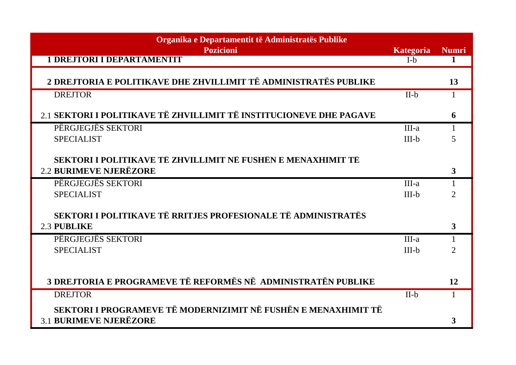| Organika e Departamentit të Administratës Publike                   |                  |                |
|---------------------------------------------------------------------|------------------|----------------|
| <b>Pozicioni</b>                                                    | <b>Kategoria</b> | <b>Numri</b>   |
| <b>1 DREJTORI I DEPARTAMENTIT</b>                                   | $I-b$            | 1              |
| 2 DREJTORIA E POLITIKAVE DHE ZHVILLIMIT TË ADMINISTRATËS PUBLIKE    |                  | 13             |
| <b>DREJTOR</b>                                                      | $II-b$           | $\mathbf{1}$   |
| 2.1 SEKTORI I POLITIKAVE TË ZHVILLIMIT TË INSTITUCIONEVE DHE PAGAVE |                  | 6              |
|                                                                     |                  |                |
| PËRGJEGJËS SEKTORI                                                  | $III-a$          |                |
| <b>SPECIALIST</b>                                                   | $III-b$          | 5              |
| SEKTORI I POLITIKAVE TË ZHVILLIMIT NË FUSHËN E MENAXHIMIT TË        |                  |                |
| <b>2.2 BURIMEVE NJERËZORE</b>                                       |                  | 3              |
|                                                                     |                  |                |
| PËRGJEGJËS SEKTORI                                                  | $III-a$          | 1              |
| <b>SPECIALIST</b>                                                   | $III-b$          | $\overline{2}$ |
| SEKTORI I POLITIKAVE TË RRITJES PROFESIONALE TË ADMINISTRATËS       |                  |                |
|                                                                     |                  |                |
| 2.3 PUBLIKE                                                         |                  | 3              |
| PËRGJEGJËS SEKTORI                                                  | $III-a$          |                |
| <b>SPECIALIST</b>                                                   | $III-b$          | $\overline{2}$ |
|                                                                     |                  |                |
|                                                                     |                  |                |
| 3 DREJTORIA E PROGRAMEVE TË REFORMËS NË ADMINISTRATËN PUBLIKE       |                  | 12             |
| <b>DREJTOR</b>                                                      | $II-b$           |                |
| SEKTORI I PROGRAMEVE TË MODERNIZIMIT NË FUSHËN E MENAXHIMIT TË      |                  |                |
| <b>3.1 BURIMEVE NJERËZORE</b>                                       |                  | 3              |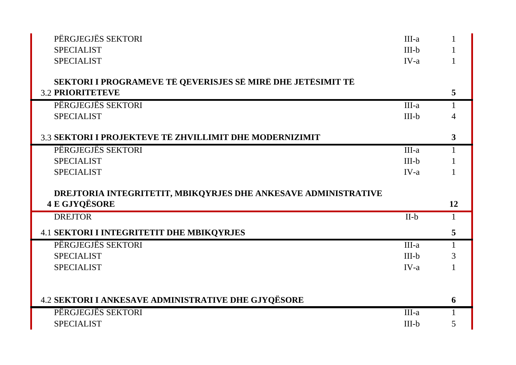| PËRGJEGJËS SEKTORI                                             | III-a   |    |
|----------------------------------------------------------------|---------|----|
| <b>SPECIALIST</b>                                              | $III-b$ |    |
| <b>SPECIALIST</b>                                              | $IV-a$  |    |
|                                                                |         |    |
| SEKTORI I PROGRAMEVE TË QEVERISJES SË MIRË DHE JETËSIMIT TË    |         |    |
| <b>3.2 PRIORITETEVE</b>                                        |         | 5  |
| PËRGJEGJËS SEKTORI                                             | $III-a$ |    |
| <b>SPECIALIST</b>                                              | $III-b$ |    |
|                                                                |         |    |
| 3.3 SEKTORI I PROJEKTEVE TË ZHVILLIMIT DHE MODERNIZIMIT        |         | 3  |
| PËRGJEGJËS SEKTORI                                             | III-a   |    |
| <b>SPECIALIST</b>                                              | $III-b$ |    |
| <b>SPECIALIST</b>                                              | $IV-a$  |    |
|                                                                |         |    |
|                                                                |         |    |
| DREJTORIA INTEGRITETIT, MBIKQYRJES DHE ANKESAVE ADMINISTRATIVE |         |    |
| <b>4 E GJYQËSORE</b>                                           |         | 12 |
| <b>DREJTOR</b>                                                 | $II-b$  |    |
| <b>4.1 SEKTORI I INTEGRITETIT DHE MBIKQYRJES</b>               |         | 5  |
| PËRGJEGJËS SEKTORI                                             | $III-a$ |    |
| <b>SPECIALIST</b>                                              | $III-b$ | 3  |
| <b>SPECIALIST</b>                                              | $IV-a$  |    |
|                                                                |         |    |
|                                                                |         |    |
| 4.2 SEKTORI I ANKESAVE ADMINISTRATIVE DHE GJYQËSORE            |         | 6  |
| PËRGJEGJËS SEKTORI                                             | III-a   |    |